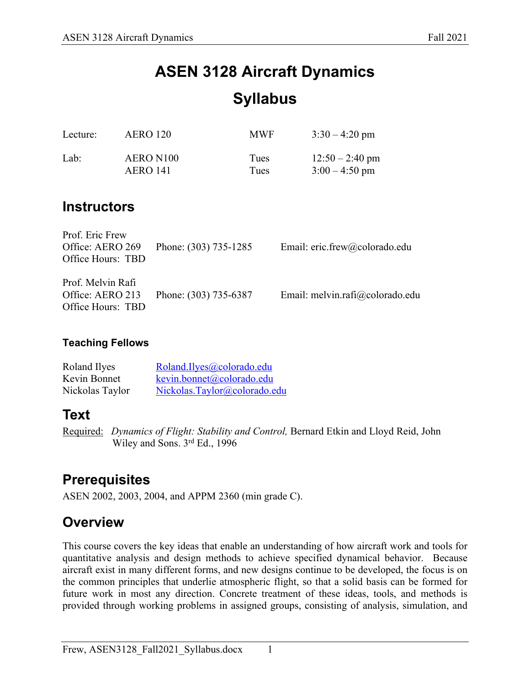# **ASEN 3128 Aircraft Dynamics Syllabus**

| Lecture: | <b>AERO 120</b> | <b>MWF</b> | $3:30 - 4:20$ pm  |
|----------|-----------------|------------|-------------------|
| Lab:     | AERO N100       | Tues       | $12:50 - 2:40$ pm |
|          | AERO 141        | Tues       | $3:00 - 4:50$ pm  |

### **Instructors**

| Prof. Eric Frew<br>Office: AERO 269<br>Office Hours: TBD   | Phone: (303) 735-1285 | Email: eric.frew@colorado.edu   |
|------------------------------------------------------------|-----------------------|---------------------------------|
| Prof. Melvin Rafi<br>Office: AERO 213<br>Office Hours: TBD | Phone: (303) 735-6387 | Email: melvin.rafi@colorado.edu |

### **Teaching Fellows**

| Roland Ilyes    | Roland.Ilyes@colorado.edu    |
|-----------------|------------------------------|
| Kevin Bonnet    | kevin.bonnet@colorado.edu    |
| Nickolas Taylor | Nickolas.Taylor@colorado.edu |

### **Text**

Required: *Dynamics of Flight: Stability and Control,* Bernard Etkin and Lloyd Reid, John Wiley and Sons. 3rd Ed., 1996

# **Prerequisites**

ASEN 2002, 2003, 2004, and APPM 2360 (min grade C).

### **Overview**

This course covers the key ideas that enable an understanding of how aircraft work and tools for quantitative analysis and design methods to achieve specified dynamical behavior. Because aircraft exist in many different forms, and new designs continue to be developed, the focus is on the common principles that underlie atmospheric flight, so that a solid basis can be formed for future work in most any direction. Concrete treatment of these ideas, tools, and methods is provided through working problems in assigned groups, consisting of analysis, simulation, and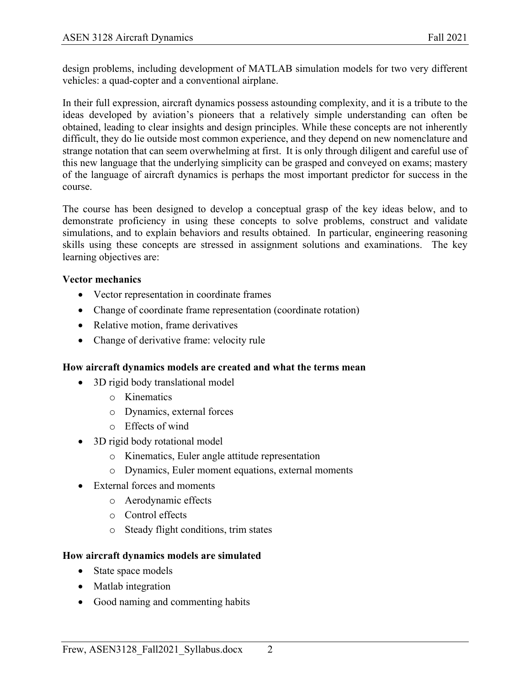design problems, including development of MATLAB simulation models for two very different vehicles: a quad-copter and a conventional airplane.

In their full expression, aircraft dynamics possess astounding complexity, and it is a tribute to the ideas developed by aviation's pioneers that a relatively simple understanding can often be obtained, leading to clear insights and design principles. While these concepts are not inherently difficult, they do lie outside most common experience, and they depend on new nomenclature and strange notation that can seem overwhelming at first. It is only through diligent and careful use of this new language that the underlying simplicity can be grasped and conveyed on exams; mastery of the language of aircraft dynamics is perhaps the most important predictor for success in the course.

The course has been designed to develop a conceptual grasp of the key ideas below, and to demonstrate proficiency in using these concepts to solve problems, construct and validate simulations, and to explain behaviors and results obtained. In particular, engineering reasoning skills using these concepts are stressed in assignment solutions and examinations. The key learning objectives are:

#### **Vector mechanics**

- Vector representation in coordinate frames
- Change of coordinate frame representation (coordinate rotation)
- Relative motion, frame derivatives
- Change of derivative frame: velocity rule

### **How aircraft dynamics models are created and what the terms mean**

- 3D rigid body translational model
	- o Kinematics
	- o Dynamics, external forces
	- o Effects of wind
- 3D rigid body rotational model
	- o Kinematics, Euler angle attitude representation
	- o Dynamics, Euler moment equations, external moments
- External forces and moments
	- o Aerodynamic effects
	- o Control effects
	- o Steady flight conditions, trim states

### **How aircraft dynamics models are simulated**

- State space models
- Matlab integration
- Good naming and commenting habits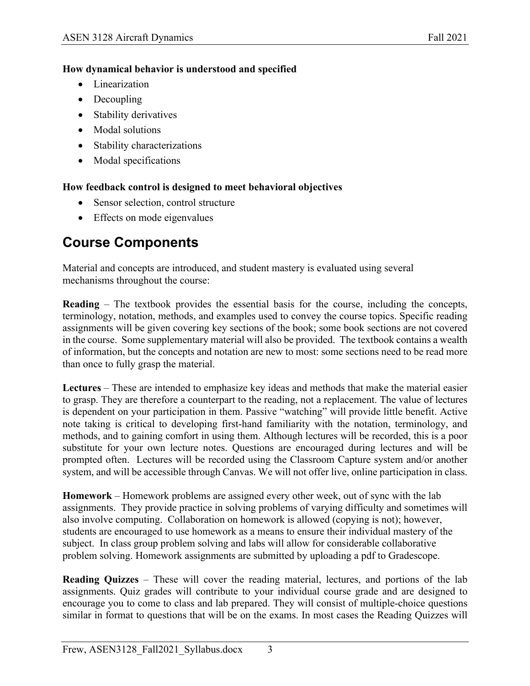#### **How dynamical behavior is understood and specified**

- Linearization
- Decoupling
- Stability derivatives
- Modal solutions
- Stability characterizations
- Modal specifications

#### **How feedback control is designed to meet behavioral objectives**

- Sensor selection, control structure
- Effects on mode eigenvalues

# **Course Components**

Material and concepts are introduced, and student mastery is evaluated using several mechanisms throughout the course:

**Reading** – The textbook provides the essential basis for the course, including the concepts, terminology, notation, methods, and examples used to convey the course topics. Specific reading assignments will be given covering key sections of the book; some book sections are not covered in the course. Some supplementary material will also be provided. The textbook contains a wealth of information, but the concepts and notation are new to most: some sections need to be read more than once to fully grasp the material.

**Lectures** – These are intended to emphasize key ideas and methods that make the material easier to grasp. They are therefore a counterpart to the reading, not a replacement. The value of lectures is dependent on your participation in them. Passive "watching" will provide little benefit. Active note taking is critical to developing first-hand familiarity with the notation, terminology, and methods, and to gaining comfort in using them. Although lectures will be recorded, this is a poor substitute for your own lecture notes. Questions are encouraged during lectures and will be prompted often. Lectures will be recorded using the Classroom Capture system and/or another system, and will be accessible through Canvas. We will not offer live, online participation in class.

**Homework** – Homework problems are assigned every other week, out of sync with the lab assignments. They provide practice in solving problems of varying difficulty and sometimes will also involve computing. Collaboration on homework is allowed (copying is not); however, students are encouraged to use homework as a means to ensure their individual mastery of the subject. In class group problem solving and labs will allow for considerable collaborative problem solving. Homework assignments are submitted by uploading a pdf to Gradescope.

**Reading Quizzes** – These will cover the reading material, lectures, and portions of the lab assignments. Quiz grades will contribute to your individual course grade and are designed to encourage you to come to class and lab prepared. They will consist of multiple-choice questions similar in format to questions that will be on the exams. In most cases the Reading Quizzes will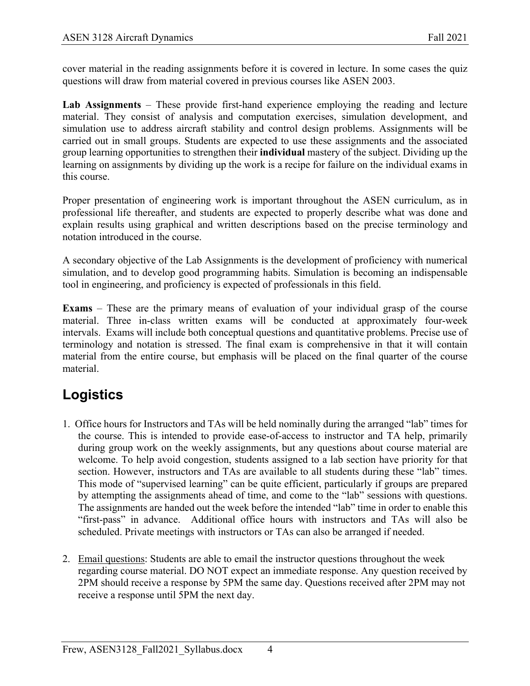cover material in the reading assignments before it is covered in lecture. In some cases the quiz questions will draw from material covered in previous courses like ASEN 2003.

**Lab Assignments** – These provide first-hand experience employing the reading and lecture material. They consist of analysis and computation exercises, simulation development, and simulation use to address aircraft stability and control design problems. Assignments will be carried out in small groups. Students are expected to use these assignments and the associated group learning opportunities to strengthen their **individual** mastery of the subject. Dividing up the learning on assignments by dividing up the work is a recipe for failure on the individual exams in this course.

Proper presentation of engineering work is important throughout the ASEN curriculum, as in professional life thereafter, and students are expected to properly describe what was done and explain results using graphical and written descriptions based on the precise terminology and notation introduced in the course.

A secondary objective of the Lab Assignments is the development of proficiency with numerical simulation, and to develop good programming habits. Simulation is becoming an indispensable tool in engineering, and proficiency is expected of professionals in this field.

**Exams** – These are the primary means of evaluation of your individual grasp of the course material. Three in-class written exams will be conducted at approximately four-week intervals. Exams will include both conceptual questions and quantitative problems. Precise use of terminology and notation is stressed. The final exam is comprehensive in that it will contain material from the entire course, but emphasis will be placed on the final quarter of the course material.

# **Logistics**

- 1. Office hours for Instructors and TAs will be held nominally during the arranged "lab" times for the course. This is intended to provide ease-of-access to instructor and TA help, primarily during group work on the weekly assignments, but any questions about course material are welcome. To help avoid congestion, students assigned to a lab section have priority for that section. However, instructors and TAs are available to all students during these "lab" times. This mode of "supervised learning" can be quite efficient, particularly if groups are prepared by attempting the assignments ahead of time, and come to the "lab" sessions with questions. The assignments are handed out the week before the intended "lab" time in order to enable this "first-pass" in advance. Additional office hours with instructors and TAs will also be scheduled. Private meetings with instructors or TAs can also be arranged if needed.
- 2. Email questions: Students are able to email the instructor questions throughout the week regarding course material. DO NOT expect an immediate response. Any question received by 2PM should receive a response by 5PM the same day. Questions received after 2PM may not receive a response until 5PM the next day.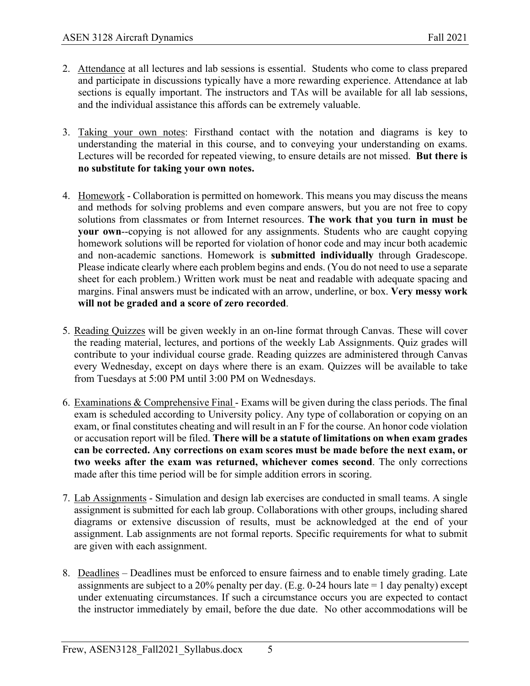- 2. Attendance at all lectures and lab sessions is essential. Students who come to class prepared and participate in discussions typically have a more rewarding experience. Attendance at lab sections is equally important. The instructors and TAs will be available for all lab sessions, and the individual assistance this affords can be extremely valuable.
- 3. Taking your own notes: Firsthand contact with the notation and diagrams is key to understanding the material in this course, and to conveying your understanding on exams. Lectures will be recorded for repeated viewing, to ensure details are not missed. **But there is no substitute for taking your own notes.**
- 4. Homework Collaboration is permitted on homework. This means you may discuss the means and methods for solving problems and even compare answers, but you are not free to copy solutions from classmates or from Internet resources. **The work that you turn in must be your own**--copying is not allowed for any assignments. Students who are caught copying homework solutions will be reported for violation of honor code and may incur both academic and non-academic sanctions. Homework is **submitted individually** through Gradescope. Please indicate clearly where each problem begins and ends. (You do not need to use a separate sheet for each problem.) Written work must be neat and readable with adequate spacing and margins. Final answers must be indicated with an arrow, underline, or box. **Very messy work will not be graded and a score of zero recorded**.
- 5. Reading Quizzes will be given weekly in an on-line format through Canvas. These will cover the reading material, lectures, and portions of the weekly Lab Assignments. Quiz grades will contribute to your individual course grade. Reading quizzes are administered through Canvas every Wednesday, except on days where there is an exam. Quizzes will be available to take from Tuesdays at 5:00 PM until 3:00 PM on Wednesdays.
- 6. Examinations & Comprehensive Final Exams will be given during the class periods. The final exam is scheduled according to University policy. Any type of collaboration or copying on an exam, or final constitutes cheating and will result in an F for the course. An honor code violation or accusation report will be filed. **There will be a statute of limitations on when exam grades can be corrected. Any corrections on exam scores must be made before the next exam, or two weeks after the exam was returned, whichever comes second**. The only corrections made after this time period will be for simple addition errors in scoring.
- 7. Lab Assignments Simulation and design lab exercises are conducted in small teams. A single assignment is submitted for each lab group. Collaborations with other groups, including shared diagrams or extensive discussion of results, must be acknowledged at the end of your assignment. Lab assignments are not formal reports. Specific requirements for what to submit are given with each assignment.
- 8. Deadlines Deadlines must be enforced to ensure fairness and to enable timely grading. Late assignments are subject to a 20% penalty per day. (E.g. 0-24 hours late  $= 1$  day penalty) except under extenuating circumstances. If such a circumstance occurs you are expected to contact the instructor immediately by email, before the due date. No other accommodations will be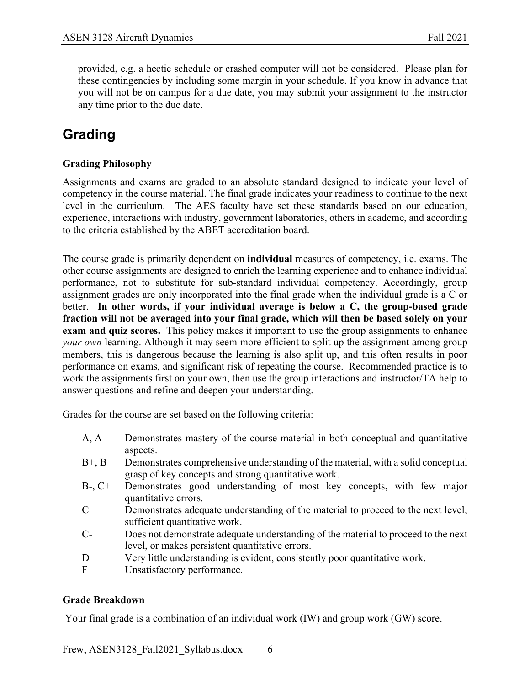provided, e.g. a hectic schedule or crashed computer will not be considered. Please plan for these contingencies by including some margin in your schedule. If you know in advance that you will not be on campus for a due date, you may submit your assignment to the instructor any time prior to the due date.

# **Grading**

#### **Grading Philosophy**

Assignments and exams are graded to an absolute standard designed to indicate your level of competency in the course material. The final grade indicates your readiness to continue to the next level in the curriculum. The AES faculty have set these standards based on our education, experience, interactions with industry, government laboratories, others in academe, and according to the criteria established by the ABET accreditation board.

The course grade is primarily dependent on **individual** measures of competency, i.e. exams. The other course assignments are designed to enrich the learning experience and to enhance individual performance, not to substitute for sub-standard individual competency. Accordingly, group assignment grades are only incorporated into the final grade when the individual grade is a C or better. **In other words, if your individual average is below a C, the group-based grade fraction will not be averaged into your final grade, which will then be based solely on your exam and quiz scores.** This policy makes it important to use the group assignments to enhance *your own* learning. Although it may seem more efficient to split up the assignment among group members, this is dangerous because the learning is also split up, and this often results in poor performance on exams, and significant risk of repeating the course. Recommended practice is to work the assignments first on your own, then use the group interactions and instructor/TA help to answer questions and refine and deepen your understanding.

Grades for the course are set based on the following criteria:

- A, A- Demonstrates mastery of the course material in both conceptual and quantitative aspects.
- B+, B Demonstrates comprehensive understanding of the material, with a solid conceptual grasp of key concepts and strong quantitative work.
- B-, C+ Demonstrates good understanding of most key concepts, with few major quantitative errors.
- C Demonstrates adequate understanding of the material to proceed to the next level; sufficient quantitative work.
- C- Does not demonstrate adequate understanding of the material to proceed to the next level, or makes persistent quantitative errors.
- D Very little understanding is evident, consistently poor quantitative work.
- F Unsatisfactory performance.

#### **Grade Breakdown**

Your final grade is a combination of an individual work (IW) and group work (GW) score.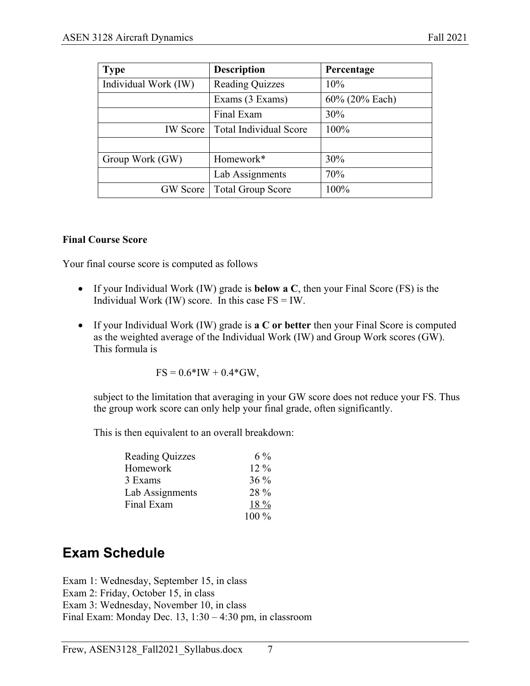| <b>Type</b>          | <b>Description</b>       | Percentage     |
|----------------------|--------------------------|----------------|
| Individual Work (IW) | <b>Reading Quizzes</b>   | 10%            |
|                      | Exams (3 Exams)          | 60% (20% Each) |
|                      | Final Exam               | 30%            |
| <b>IW</b> Score      | Total Individual Score   | 100%           |
|                      |                          |                |
| Group Work (GW)      | Homework*                | 30%            |
|                      | Lab Assignments          | 70%            |
| <b>GW</b> Score      | <b>Total Group Score</b> | 100%           |

#### **Final Course Score**

Your final course score is computed as follows

- If your Individual Work (IW) grade is **below a C**, then your Final Score (FS) is the Individual Work (IW) score. In this case  $FS = IW$ .
- If your Individual Work (IW) grade is **a C or better** then your Final Score is computed as the weighted average of the Individual Work (IW) and Group Work scores (GW). This formula is

$$
FS = 0.6*IW + 0.4*GW,
$$

subject to the limitation that averaging in your GW score does not reduce your FS. Thus the group work score can only help your final grade, often significantly.

This is then equivalent to an overall breakdown:

| <b>Reading Quizzes</b> | $6\%$  |
|------------------------|--------|
| Homework               | $12\%$ |
| 3 Exams                | $36\%$ |
| Lab Assignments        | 28 %   |
| Final Exam             | 18 %   |
|                        | 100 %  |

### **Exam Schedule**

Exam 1: Wednesday, September 15, in class Exam 2: Friday, October 15, in class Exam 3: Wednesday, November 10, in class Final Exam: Monday Dec. 13, 1:30 – 4:30 pm, in classroom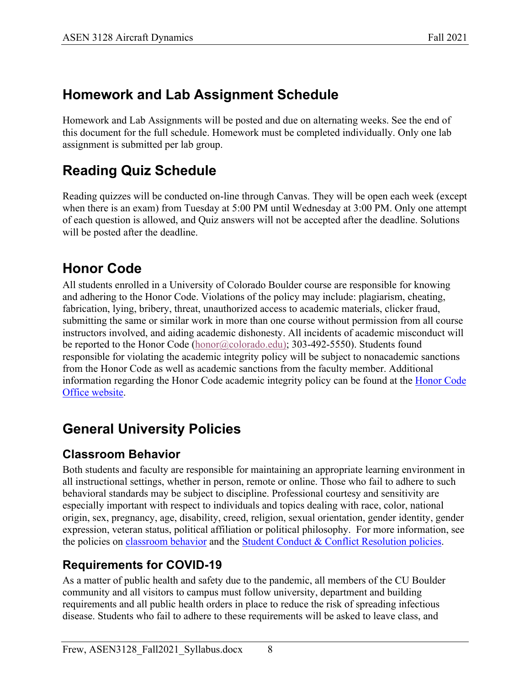# **Homework and Lab Assignment Schedule**

Homework and Lab Assignments will be posted and due on alternating weeks. See the end of this document for the full schedule. Homework must be completed individually. Only one lab assignment is submitted per lab group.

# **Reading Quiz Schedule**

Reading quizzes will be conducted on-line through Canvas. They will be open each week (except when there is an exam) from Tuesday at 5:00 PM until Wednesday at 3:00 PM. Only one attempt of each question is allowed, and Quiz answers will not be accepted after the deadline. Solutions will be posted after the deadline.

# **Honor Code**

All students enrolled in a University of Colorado Boulder course are responsible for knowing and adhering to the Honor Code. Violations of the policy may include: plagiarism, cheating, fabrication, lying, bribery, threat, unauthorized access to academic materials, clicker fraud, submitting the same or similar work in more than one course without permission from all course instructors involved, and aiding academic dishonesty. All incidents of academic misconduct will be reported to the Honor Code (honor@colorado.edu); 303-492-5550). Students found responsible for violating the academic integrity policy will be subject to nonacademic sanctions from the Honor Code as well as academic sanctions from the faculty member. Additional information regarding the Honor Code academic integrity policy can be found at the Honor Code Office website.

# **General University Policies**

### **Classroom Behavior**

Both students and faculty are responsible for maintaining an appropriate learning environment in all instructional settings, whether in person, remote or online. Those who fail to adhere to such behavioral standards may be subject to discipline. Professional courtesy and sensitivity are especially important with respect to individuals and topics dealing with race, color, national origin, sex, pregnancy, age, disability, creed, religion, sexual orientation, gender identity, gender expression, veteran status, political affiliation or political philosophy. For more information, see the policies on classroom behavior and the Student Conduct & Conflict Resolution policies.

### **Requirements for COVID-19**

As a matter of public health and safety due to the pandemic, all members of the CU Boulder community and all visitors to campus must follow university, department and building requirements and all public health orders in place to reduce the risk of spreading infectious disease. Students who fail to adhere to these requirements will be asked to leave class, and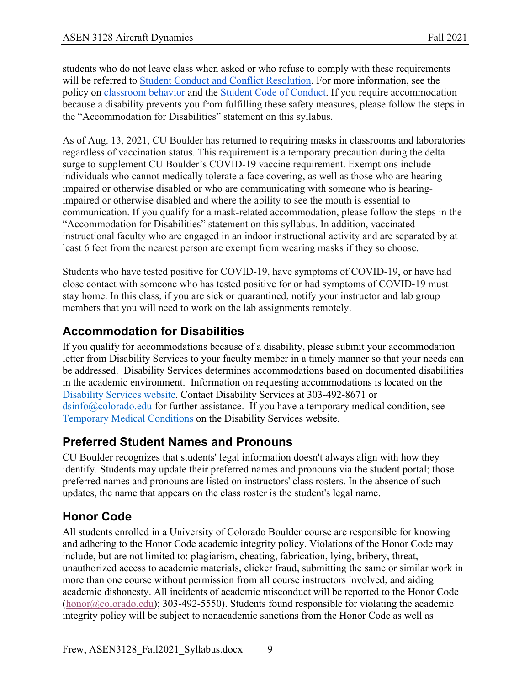students who do not leave class when asked or who refuse to comply with these requirements will be referred to Student Conduct and Conflict Resolution. For more information, see the policy on classroom behavior and the Student Code of Conduct. If you require accommodation because a disability prevents you from fulfilling these safety measures, please follow the steps in the "Accommodation for Disabilities" statement on this syllabus.

As of Aug. 13, 2021, CU Boulder has returned to requiring masks in classrooms and laboratories regardless of vaccination status. This requirement is a temporary precaution during the delta surge to supplement CU Boulder's COVID-19 vaccine requirement. Exemptions include individuals who cannot medically tolerate a face covering, as well as those who are hearingimpaired or otherwise disabled or who are communicating with someone who is hearingimpaired or otherwise disabled and where the ability to see the mouth is essential to communication. If you qualify for a mask-related accommodation, please follow the steps in the "Accommodation for Disabilities" statement on this syllabus. In addition, vaccinated instructional faculty who are engaged in an indoor instructional activity and are separated by at least 6 feet from the nearest person are exempt from wearing masks if they so choose.

Students who have tested positive for COVID-19, have symptoms of COVID-19, or have had close contact with someone who has tested positive for or had symptoms of COVID-19 must stay home. In this class, if you are sick or quarantined, notify your instructor and lab group members that you will need to work on the lab assignments remotely.

### **Accommodation for Disabilities**

If you qualify for accommodations because of a disability, please submit your accommodation letter from Disability Services to your faculty member in a timely manner so that your needs can be addressed. Disability Services determines accommodations based on documented disabilities in the academic environment. Information on requesting accommodations is located on the Disability Services website. Contact Disability Services at 303-492-8671 or dsinfo@colorado.edu for further assistance. If you have a temporary medical condition, see Temporary Medical Conditions on the Disability Services website.

### **Preferred Student Names and Pronouns**

CU Boulder recognizes that students' legal information doesn't always align with how they identify. Students may update their preferred names and pronouns via the student portal; those preferred names and pronouns are listed on instructors' class rosters. In the absence of such updates, the name that appears on the class roster is the student's legal name.

### **Honor Code**

All students enrolled in a University of Colorado Boulder course are responsible for knowing and adhering to the Honor Code academic integrity policy. Violations of the Honor Code may include, but are not limited to: plagiarism, cheating, fabrication, lying, bribery, threat, unauthorized access to academic materials, clicker fraud, submitting the same or similar work in more than one course without permission from all course instructors involved, and aiding academic dishonesty. All incidents of academic misconduct will be reported to the Honor Code  $(honor@colorado.edu)$ ; 303-492-5550). Students found responsible for violating the academic integrity policy will be subject to nonacademic sanctions from the Honor Code as well as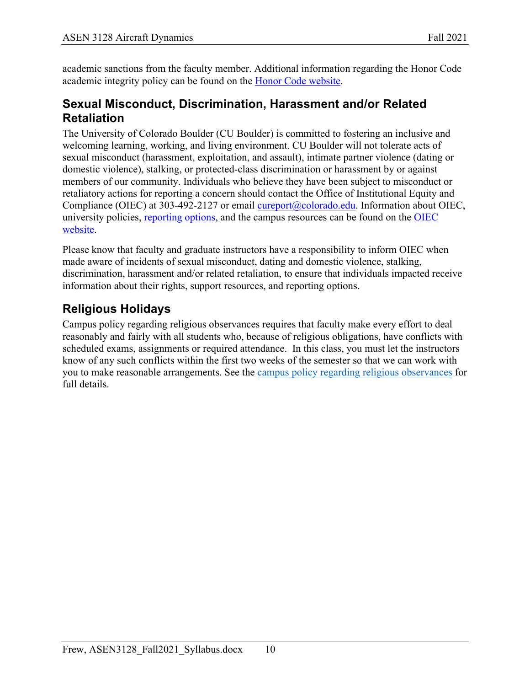academic sanctions from the faculty member. Additional information regarding the Honor Code academic integrity policy can be found on the Honor Code website.

### **Sexual Misconduct, Discrimination, Harassment and/or Related Retaliation**

The University of Colorado Boulder (CU Boulder) is committed to fostering an inclusive and welcoming learning, working, and living environment. CU Boulder will not tolerate acts of sexual misconduct (harassment, exploitation, and assault), intimate partner violence (dating or domestic violence), stalking, or protected-class discrimination or harassment by or against members of our community. Individuals who believe they have been subject to misconduct or retaliatory actions for reporting a concern should contact the Office of Institutional Equity and Compliance (OIEC) at 303-492-2127 or email cureport@colorado.edu. Information about OIEC, university policies, reporting options, and the campus resources can be found on the OIEC website.

Please know that faculty and graduate instructors have a responsibility to inform OIEC when made aware of incidents of sexual misconduct, dating and domestic violence, stalking, discrimination, harassment and/or related retaliation, to ensure that individuals impacted receive information about their rights, support resources, and reporting options.

### **Religious Holidays**

Campus policy regarding religious observances requires that faculty make every effort to deal reasonably and fairly with all students who, because of religious obligations, have conflicts with scheduled exams, assignments or required attendance. In this class, you must let the instructors know of any such conflicts within the first two weeks of the semester so that we can work with you to make reasonable arrangements. See the campus policy regarding religious observances for full details.